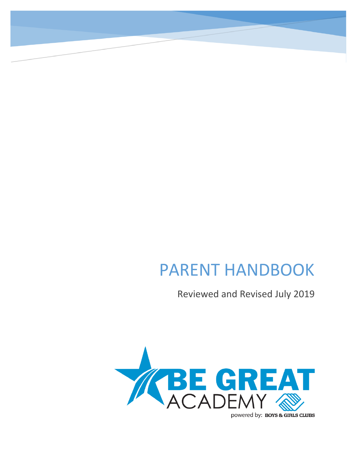# PARENT HANDBOOK

Reviewed and Revised July 2019

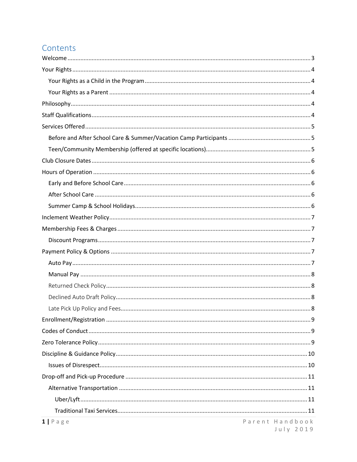# Contents

| $1$   Page | Parent Handbook |
|------------|-----------------|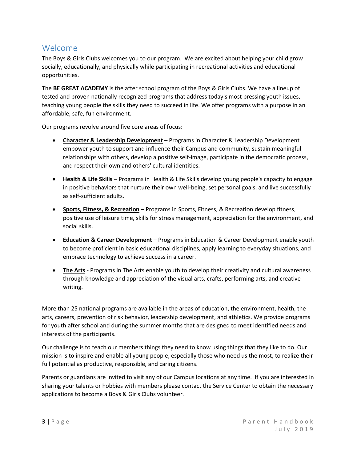# <span id="page-3-0"></span>Welcome

The Boys & Girls Clubs welcomes you to our program. We are excited about helping your child grow socially, educationally, and physically while participating in recreational activities and educational opportunities.

The **BE GREAT ACADEMY** is the after school program of the Boys & Girls Clubs. We have a lineup of tested and proven nationally recognized programs that address today's most pressing youth issues, teaching young people the skills they need to succeed in life. We offer programs with a purpose in an affordable, safe, fun environment.

Our programs revolve around five core areas of focus:

- **Character & Leadership Development** Programs in Character & Leadership Development empower youth to support and influence their Campus and community, sustain meaningful relationships with others, develop a positive self-image, participate in the democratic process, and respect their own and others' cultural identities.
- **Health & Life Skills** Programs in Health & Life Skills develop young people's capacity to engage in positive behaviors that nurture their own well-being, set personal goals, and live successfully as self-sufficient adults.
- **Sports, Fitness, & Recreation –** Programs in Sports, Fitness, & Recreation develop fitness, positive use of leisure time, skills for stress management, appreciation for the environment, and social skills.
- **Education & Career Development** Programs in Education & Career Development enable youth to become proficient in basic educational disciplines, apply learning to everyday situations, and embrace technology to achieve success in a career.
- **The Arts** Programs in The Arts enable youth to develop their creativity and cultural awareness through knowledge and appreciation of the visual arts, crafts, performing arts, and creative writing.

More than 25 national programs are available in the areas of education, the environment, health, the arts, careers, prevention of risk behavior, leadership development, and athletics. We provide programs for youth after school and during the summer months that are designed to meet identified needs and interests of the participants.

Our challenge is to teach our members things they need to know using things that they like to do. Our mission is to inspire and enable all young people, especially those who need us the most, to realize their full potential as productive, responsible, and caring citizens.

Parents or guardians are invited to visit any of our Campus locations at any time. If you are interested in sharing your talents or hobbies with members please contact the Service Center to obtain the necessary applications to become a Boys & Girls Clubs volunteer.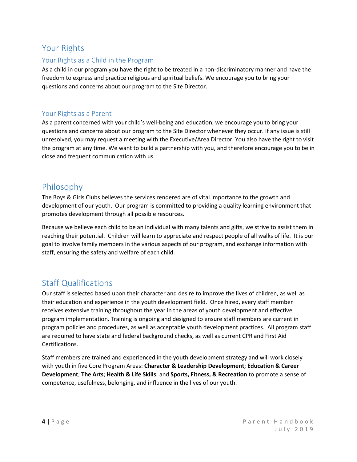# <span id="page-4-0"></span>Your Rights

### <span id="page-4-1"></span>Your Rights as a Child in the Program

As a child in our program you have the right to be treated in a non-discriminatory manner and have the freedom to express and practice religious and spiritual beliefs. We encourage you to bring your questions and concerns about our program to the Site Director.

### <span id="page-4-2"></span>Your Rights as a Parent

As a parent concerned with your child's well-being and education, we encourage you to bring your questions and concerns about our program to the Site Director whenever they occur. If any issue is still unresolved, you may request a meeting with the Executive/Area Director. You also have the right to visit the program at any time. We want to build a partnership with you, and therefore encourage you to be in close and frequent communication with us.

# <span id="page-4-3"></span>Philosophy

The Boys & Girls Clubs believes the services rendered are of vital importance to the growth and development of our youth. Our program is committed to providing a quality learning environment that promotes development through all possible resources.

Because we believe each child to be an individual with many talents and gifts, we strive to assist them in reaching their potential. Children will learn to appreciate and respect people of all walks of life. It is our goal to involve family members in the various aspects of our program, and exchange information with staff, ensuring the safety and welfare of each child.

# <span id="page-4-4"></span>Staff Qualifications

Our staff is selected based upon their character and desire to improve the lives of children, as well as their education and experience in the youth development field. Once hired, every staff member receives extensive training throughout the year in the areas of youth development and effective program implementation. Training is ongoing and designed to ensure staff members are current in program policies and procedures, as well as acceptable youth development practices. All program staff are required to have state and federal background checks, as well as current CPR and First Aid Certifications.

Staff members are trained and experienced in the youth development strategy and will work closely with youth in five Core Program Areas: **Character & Leadership Development**; **Education & Career Development**; **The Arts**; **Health & Life Skills**; and **Sports, Fitness, & Recreation** to promote a sense of competence, usefulness, belonging, and influence in the lives of our youth.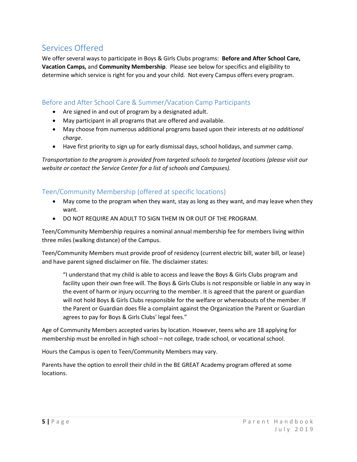# <span id="page-5-0"></span>Services Offered

We offer several ways to participate in Boys & Girls Clubs programs: **Before and After School Care, Vacation Camps,** and **Community Membership**. Please see below for specifics and eligibility to determine which service is right for you and your child. Not every Campus offers every program.

### <span id="page-5-1"></span>Before and After School Care & Summer/Vacation Camp Participants

- Are signed in and out of program by a designated adult.
- May participant in all programs that are offered and available.
- May choose from numerous additional programs based upon their interests *at no additional charge*.
- Have first priority to sign up for early dismissal days, school holidays, and summer camp.

*Transportation to the program is provided from targeted schools to targeted locations (please visit our website or contact the Service Center for a list of schools and Campuses).*

### <span id="page-5-2"></span>Teen/Community Membership (offered at specific locations)

- May come to the program when they want, stay as long as they want, and may leave when they want.
- DO NOT REQUIRE AN ADULT TO SIGN THEM IN OR OUT OF THE PROGRAM.

Teen/Community Membership requires a nominal annual membership fee for members living within three miles (walking distance) of the Campus.

Teen/Community Members must provide proof of residency (current electric bill, water bill, or lease) and have parent signed disclaimer on file. The disclaimer states:

"I understand that my child is able to access and leave the Boys & Girls Clubs program and facility upon their own free will. The Boys & Girls Clubs is not responsible or liable in any way in the event of harm or injury occurring to the member. It is agreed that the parent or guardian will not hold Boys & Girls Clubs responsible for the welfare or whereabouts of the member. If the Parent or Guardian does file a complaint against the Organization the Parent or Guardian agrees to pay for Boys & Girls Clubs' legal fees."

Age of Community Members accepted varies by location. However, teens who are 18 applying for membership must be enrolled in high school – not college, trade school, or vocational school.

Hours the Campus is open to Teen/Community Members may vary.

Parents have the option to enroll their child in the BE GREAT Academy program offered at some locations.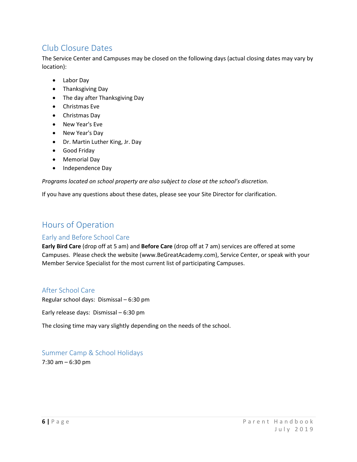# <span id="page-6-0"></span>Club Closure Dates

The Service Center and Campuses may be closed on the following days (actual closing dates may vary by location):

- Labor Day
- Thanksgiving Day
- The day after Thanksgiving Day
- Christmas Eve
- Christmas Day
- New Year's Eve
- New Year's Day
- Dr. Martin Luther King, Jr. Day
- Good Friday
- Memorial Day
- Independence Day

*Programs located on school property are also subject to close at the school's discretion.* 

If you have any questions about these dates, please see your Site Director for clarification.

# <span id="page-6-1"></span>Hours of Operation

### <span id="page-6-2"></span>Early and Before School Care

**Early Bird Care** (drop off at 5 am) and **Before Care** (drop off at 7 am) services are offered at some Campuses. Please check the website (www.BeGreatAcademy.com), Service Center, or speak with your Member Service Specialist for the most current list of participating Campuses.

### <span id="page-6-3"></span>After School Care

Regular school days: Dismissal – 6:30 pm

Early release days: Dismissal – 6:30 pm

The closing time may vary slightly depending on the needs of the school.

### <span id="page-6-4"></span>Summer Camp & School Holidays

7:30 am – 6:30 pm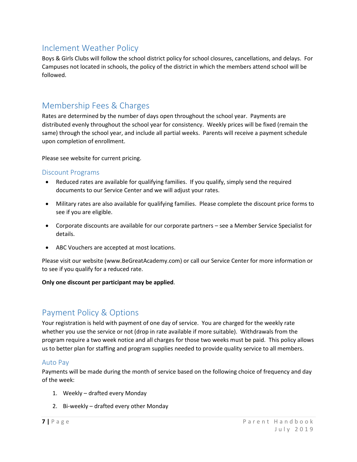# <span id="page-7-0"></span>Inclement Weather Policy

Boys & Girls Clubs will follow the school district policy for school closures, cancellations, and delays. For Campuses not located in schools, the policy of the district in which the members attend school will be followed.

# <span id="page-7-1"></span>Membership Fees & Charges

Rates are determined by the number of days open throughout the school year. Payments are distributed evenly throughout the school year for consistency. Weekly prices will be fixed (remain the same) through the school year, and include all partial weeks. Parents will receive a payment schedule upon completion of enrollment.

Please see website for current pricing.

#### <span id="page-7-2"></span>Discount Programs

- Reduced rates are available for qualifying families. If you qualify, simply send the required documents to our Service Center and we will adjust your rates.
- Military rates are also available for qualifying families. Please complete the discount price forms to see if you are eligible.
- Corporate discounts are available for our corporate partners see a Member Service Specialist for details.
- ABC Vouchers are accepted at most locations.

Please visit our website (www.BeGreatAcademy.com) or call our Service Center for more information or to see if you qualify for a reduced rate.

#### **Only one discount per participant may be applied**.

### <span id="page-7-3"></span>Payment Policy & Options

Your registration is held with payment of one day of service. You are charged for the weekly rate whether you use the service or not (drop in rate available if more suitable). Withdrawals from the program require a two week notice and all charges for those two weeks must be paid. This policy allows us to better plan for staffing and program supplies needed to provide quality service to all members.

### <span id="page-7-4"></span>Auto Pay

Payments will be made during the month of service based on the following choice of frequency and day of the week:

- 1. Weekly drafted every Monday
- 2. Bi-weekly drafted every other Monday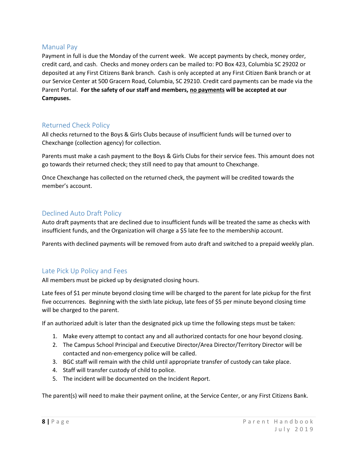### <span id="page-8-0"></span>Manual Pay

Payment in full is due the Monday of the current week. We accept payments by check, money order, credit card, and cash. Checks and money orders can be mailed to: PO Box 423, Columbia SC 29202 or deposited at any First Citizens Bank branch. Cash is only accepted at any First Citizen Bank branch or at our Service Center at 500 Gracern Road, Columbia, SC 29210. Credit card payments can be made via the Parent Portal. **For the safety of our staff and members, no payments will be accepted at our Campuses.**

### <span id="page-8-1"></span>Returned Check Policy

All checks returned to the Boys & Girls Clubs because of insufficient funds will be turned over to Chexchange (collection agency) for collection.

Parents must make a cash payment to the Boys & Girls Clubs for their service fees. This amount does not go towards their returned check; they still need to pay that amount to Chexchange.

Once Chexchange has collected on the returned check, the payment will be credited towards the member's account.

### <span id="page-8-2"></span>Declined Auto Draft Policy

Auto draft payments that are declined due to insufficient funds will be treated the same as checks with insufficient funds, and the Organization will charge a \$5 late fee to the membership account.

Parents with declined payments will be removed from auto draft and switched to a prepaid weekly plan.

### <span id="page-8-3"></span>Late Pick Up Policy and Fees

All members must be picked up by designated closing hours.

Late fees of \$1 per minute beyond closing time will be charged to the parent for late pickup for the first five occurrences. Beginning with the sixth late pickup, late fees of \$5 per minute beyond closing time will be charged to the parent.

If an authorized adult is later than the designated pick up time the following steps must be taken:

- 1. Make every attempt to contact any and all authorized contacts for one hour beyond closing.
- 2. The Campus School Principal and Executive Director/Area Director/Territory Director will be contacted and non-emergency police will be called.
- 3. BGC staff will remain with the child until appropriate transfer of custody can take place.
- 4. Staff will transfer custody of child to police.
- 5. The incident will be documented on the Incident Report.

The parent(s) will need to make their payment online, at the Service Center, or any First Citizens Bank.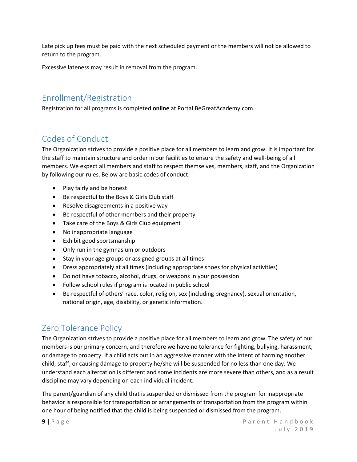Late pick up fees must be paid with the next scheduled payment or the members will not be allowed to return to the program.

Excessive lateness may result in removal from the program.

# <span id="page-9-0"></span>Enrollment/Registration

Registration for all programs is completed **online** at Portal.BeGreatAcademy.com.

# <span id="page-9-1"></span>Codes of Conduct

The Organization strives to provide a positive place for all members to learn and grow. It is important for the staff to maintain structure and order in our facilities to ensure the safety and well-being of all members. We expect all members and staff to respect themselves, members, staff, and the Organization by following our rules. Below are basic codes of conduct:

- Play fairly and be honest
- Be respectful to the Boys & Girls Club staff
- Resolve disagreements in a positive way
- Be respectful of other members and their property
- Take care of the Boys & Girls Club equipment
- No inappropriate language
- Exhibit good sportsmanship
- Only run in the gymnasium or outdoors
- Stay in your age groups or assigned groups at all times
- Dress appropriately at all times (including appropriate shoes for physical activities)
- Do not have tobacco, alcohol, drugs, or weapons in your possession
- Follow school rules if program is located in public school
- Be respectful of others' race, color, religion, sex (including pregnancy), sexual orientation, national origin, age, disability, or genetic information.

# <span id="page-9-2"></span>Zero Tolerance Policy

The Organization strives to provide a positive place for all members to learn and grow. The safety of our members is our primary concern, and therefore we have no tolerance for fighting, bullying, harassment, or damage to property. If a child acts out in an aggressive manner with the intent of harming another child, staff, or causing damage to property he/she will be suspended for no less than one day. We understand each altercation is different and some incidents are more severe than others, and as a result discipline may vary depending on each individual incident.

The parent/guardian of any child that is suspended or dismissed from the program for inappropriate behavior is responsible for transportation or arrangements of transportation from the program within one hour of being notified that the child is being suspended or dismissed from the program.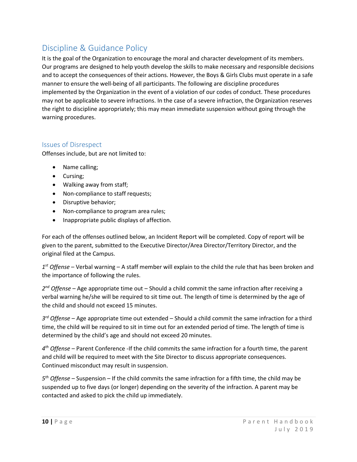# <span id="page-10-0"></span>Discipline & Guidance Policy

It is the goal of the Organization to encourage the moral and character development of its members. Our programs are designed to help youth develop the skills to make necessary and responsible decisions and to accept the consequences of their actions. However, the Boys & Girls Clubs must operate in a safe manner to ensure the well-being of all participants. The following are discipline procedures implemented by the Organization in the event of a violation of our codes of conduct. These procedures may not be applicable to severe infractions. In the case of a severe infraction, the Organization reserves the right to discipline appropriately; this may mean immediate suspension without going through the warning procedures.

### <span id="page-10-1"></span>Issues of Disrespect

Offenses include, but are not limited to:

- Name calling;
- Cursing;
- Walking away from staff;
- Non-compliance to staff requests;
- Disruptive behavior;
- Non-compliance to program area rules;
- Inappropriate public displays of affection.

For each of the offenses outlined below, an Incident Report will be completed. Copy of report will be given to the parent, submitted to the Executive Director/Area Director/Territory Director, and the original filed at the Campus.

*1 st Offense* – Verbal warning – A staff member will explain to the child the rule that has been broken and the importance of following the rules.

*2 nd Offense* – Age appropriate time out – Should a child commit the same infraction after receiving a verbal warning he/she will be required to sit time out. The length of time is determined by the age of the child and should not exceed 15 minutes.

*3 rd Offense* – Age appropriate time out extended – Should a child commit the same infraction for a third time, the child will be required to sit in time out for an extended period of time. The length of time is determined by the child's age and should not exceed 20 minutes.

*4 th Offense* – Parent Conference -If the child commits the same infraction for a fourth time, the parent and child will be required to meet with the Site Director to discuss appropriate consequences. Continued misconduct may result in suspension.

*5 th Offense* – Suspension – If the child commits the same infraction for a fifth time, the child may be suspended up to five days (or longer) depending on the severity of the infraction. A parent may be contacted and asked to pick the child up immediately.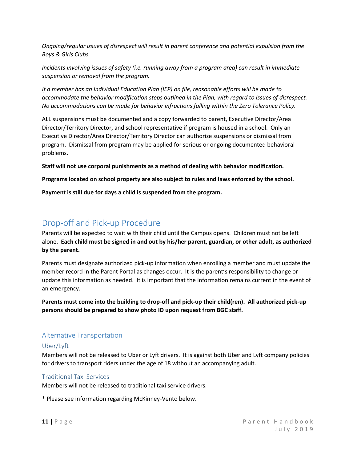*Ongoing/regular issues of disrespect will result in parent conference and potential expulsion from the Boys & Girls Clubs.*

*Incidents involving issues of safety (i.e. running away from a program area) can result in immediate suspension or removal from the program.*

*If a member has an Individual Education Plan (IEP) on file, reasonable efforts will be made to accommodate the behavior modification steps outlined in the Plan, with regard to issues of disrespect. No accommodations can be made for behavior infractions falling within the Zero Tolerance Policy.*

ALL suspensions must be documented and a copy forwarded to parent, Executive Director/Area Director/Territory Director, and school representative if program is housed in a school. Only an Executive Director/Area Director/Territory Director can authorize suspensions or dismissal from program. Dismissal from program may be applied for serious or ongoing documented behavioral problems.

**Staff will not use corporal punishments as a method of dealing with behavior modification.**

**Programs located on school property are also subject to rules and laws enforced by the school.**

**Payment is still due for days a child is suspended from the program.**

# <span id="page-11-0"></span>Drop-off and Pick-up Procedure

Parents will be expected to wait with their child until the Campus opens. Children must not be left alone. **Each child must be signed in and out by his/her parent, guardian, or other adult, as authorized by the parent.**

Parents must designate authorized pick-up information when enrolling a member and must update the member record in the Parent Portal as changes occur. It is the parent's responsibility to change or update this information as needed. It is important that the information remains current in the event of an emergency.

**Parents must come into the building to drop-off and pick-up their child(ren). All authorized pick-up persons should be prepared to show photo ID upon request from BGC staff.**

### <span id="page-11-1"></span>Alternative Transportation

### <span id="page-11-2"></span>Uber/Lyft

Members will not be released to Uber or Lyft drivers. It is against both Uber and Lyft company policies for drivers to transport riders under the age of 18 without an accompanying adult.

#### <span id="page-11-3"></span>Traditional Taxi Services

Members will not be released to traditional taxi service drivers.

\* Please see information regarding McKinney-Vento below.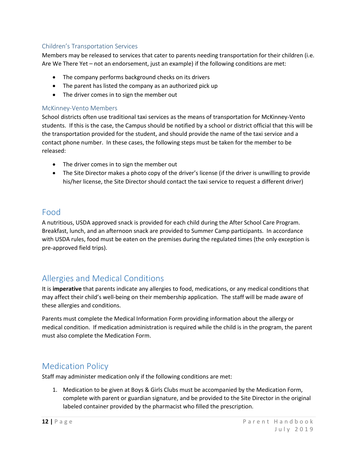### <span id="page-12-0"></span>Children's Transportation Services

Members may be released to services that cater to parents needing transportation for their children (i.e. Are We There Yet – not an endorsement, just an example) if the following conditions are met:

- The company performs background checks on its drivers
- The parent has listed the company as an authorized pick up
- The driver comes in to sign the member out

#### <span id="page-12-1"></span>McKinney-Vento Members

School districts often use traditional taxi services as the means of transportation for McKinney-Vento students. If this is the case, the Campus should be notified by a school or district official that this will be the transportation provided for the student, and should provide the name of the taxi service and a contact phone number. In these cases, the following steps must be taken for the member to be released:

- The driver comes in to sign the member out
- The Site Director makes a photo copy of the driver's license (if the driver is unwilling to provide his/her license, the Site Director should contact the taxi service to request a different driver)

### <span id="page-12-2"></span>Food

A nutritious, USDA approved snack is provided for each child during the After School Care Program. Breakfast, lunch, and an afternoon snack are provided to Summer Camp participants. In accordance with USDA rules, food must be eaten on the premises during the regulated times (the only exception is pre-approved field trips).

# <span id="page-12-3"></span>Allergies and Medical Conditions

It is **imperative** that parents indicate any allergies to food, medications, or any medical conditions that may affect their child's well-being on their membership application. The staff will be made aware of these allergies and conditions.

Parents must complete the Medical Information Form providing information about the allergy or medical condition. If medication administration is required while the child is in the program, the parent must also complete the Medication Form.

### <span id="page-12-4"></span>Medication Policy

Staff may administer medication only if the following conditions are met:

1. Medication to be given at Boys & Girls Clubs must be accompanied by the Medication Form, complete with parent or guardian signature, and be provided to the Site Director in the original labeled container provided by the pharmacist who filled the prescription.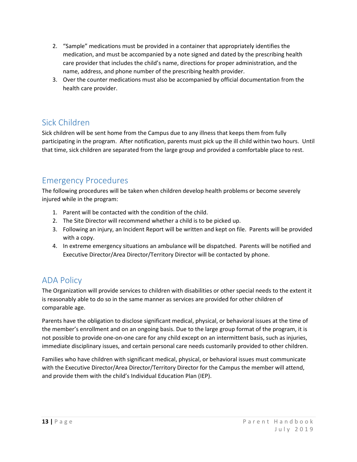- 2. "Sample" medications must be provided in a container that appropriately identifies the medication, and must be accompanied by a note signed and dated by the prescribing health care provider that includes the child's name, directions for proper administration, and the name, address, and phone number of the prescribing health provider.
- 3. Over the counter medications must also be accompanied by official documentation from the health care provider.

### <span id="page-13-0"></span>Sick Children

Sick children will be sent home from the Campus due to any illness that keeps them from fully participating in the program. After notification, parents must pick up the ill child within two hours. Until that time, sick children are separated from the large group and provided a comfortable place to rest.

### <span id="page-13-1"></span>Emergency Procedures

The following procedures will be taken when children develop health problems or become severely injured while in the program:

- 1. Parent will be contacted with the condition of the child.
- 2. The Site Director will recommend whether a child is to be picked up.
- 3. Following an injury, an Incident Report will be written and kept on file. Parents will be provided with a copy.
- 4. In extreme emergency situations an ambulance will be dispatched. Parents will be notified and Executive Director/Area Director/Territory Director will be contacted by phone.

### <span id="page-13-2"></span>ADA Policy

The Organization will provide services to children with disabilities or other special needs to the extent it is reasonably able to do so in the same manner as services are provided for other children of comparable age.

Parents have the obligation to disclose significant medical, physical, or behavioral issues at the time of the member's enrollment and on an ongoing basis. Due to the large group format of the program, it is not possible to provide one-on-one care for any child except on an intermittent basis, such as injuries, immediate disciplinary issues, and certain personal care needs customarily provided to other children.

Families who have children with significant medical, physical, or behavioral issues must communicate with the Executive Director/Area Director/Territory Director for the Campus the member will attend, and provide them with the child's Individual Education Plan (IEP).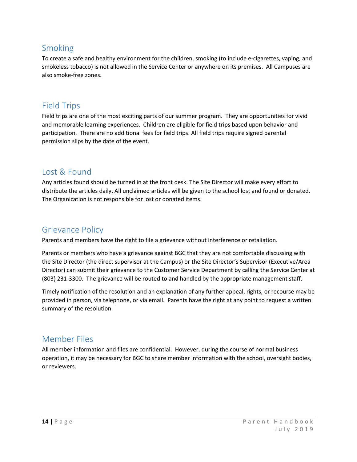# <span id="page-14-0"></span>Smoking

To create a safe and healthy environment for the children, smoking (to include e-cigarettes, vaping, and smokeless tobacco) is not allowed in the Service Center or anywhere on its premises. All Campuses are also smoke-free zones.

# <span id="page-14-1"></span>Field Trips

Field trips are one of the most exciting parts of our summer program. They are opportunities for vivid and memorable learning experiences. Children are eligible for field trips based upon behavior and participation. There are no additional fees for field trips. All field trips require signed parental permission slips by the date of the event.

### <span id="page-14-2"></span>Lost & Found

Any articles found should be turned in at the front desk. The Site Director will make every effort to distribute the articles daily. All unclaimed articles will be given to the school lost and found or donated. The Organization is not responsible for lost or donated items.

### <span id="page-14-3"></span>Grievance Policy

Parents and members have the right to file a grievance without interference or retaliation.

Parents or members who have a grievance against BGC that they are not comfortable discussing with the Site Director (the direct supervisor at the Campus) or the Site Director's Supervisor (Executive/Area Director) can submit their grievance to the Customer Service Department by calling the Service Center at (803) 231-3300. The grievance will be routed to and handled by the appropriate management staff.

Timely notification of the resolution and an explanation of any further appeal, rights, or recourse may be provided in person, via telephone, or via email. Parents have the right at any point to request a written summary of the resolution.

# <span id="page-14-4"></span>Member Files

All member information and files are confidential. However, during the course of normal business operation, it may be necessary for BGC to share member information with the school, oversight bodies, or reviewers.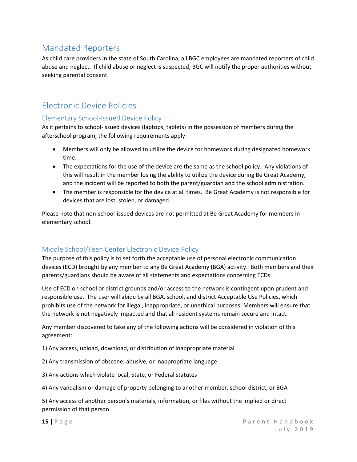# <span id="page-15-0"></span>Mandated Reporters

As child care providers in the state of South Carolina, all BGC employees are mandated reporters of child abuse and neglect. If child abuse or neglect is suspected, BGC will notify the proper authorities without seeking parental consent.

# <span id="page-15-1"></span>Electronic Device Policies

### <span id="page-15-2"></span>Elementary School-Issued Device Policy

As it pertains to school-issued devices (laptops, tablets) in the possession of members during the afterschool program, the following requirements apply:

- Members will only be allowed to utilize the device for homework during designated homework time.
- The expectations for the use of the device are the same as the school policy. Any violations of this will result in the member losing the ability to utilize the device during Be Great Academy, and the incident will be reported to both the parent/guardian and the school administration.
- The member is responsible for the device at all times. Be Great Academy is not responsible for devices that are lost, stolen, or damaged.

Please note that non-school-issued devices are not permitted at Be Great Academy for members in elementary school.

### <span id="page-15-3"></span>Middle School/Teen Center Electronic Device Policy

The purpose of this policy is to set forth the acceptable use of personal electronic communication devices (ECD) brought by any member to any Be Great Academy (BGA) activity. Both members and their parents/guardians should be aware of all statements and expectations concerning ECDs.

Use of ECD on school or district grounds and/or access to the network is contingent upon prudent and responsible use. The user will abide by all BGA, school, and district Acceptable Use Policies, which prohibits use of the network for illegal, inappropriate, or unethical purposes. Members will ensure that the network is not negatively impacted and that all resident systems remain secure and intact.

Any member discovered to take any of the following actions will be considered in violation of this agreement:

1) Any access, upload, download, or distribution of inappropriate material

- 2) Any transmission of obscene, abusive, or inappropriate language
- 3) Any actions which violate local, State, or Federal statutes
- 4) Any vandalism or damage of property belonging to another member, school district, or BGA

5) Any access of another person's materials, information, or files without the implied or direct permission of that person